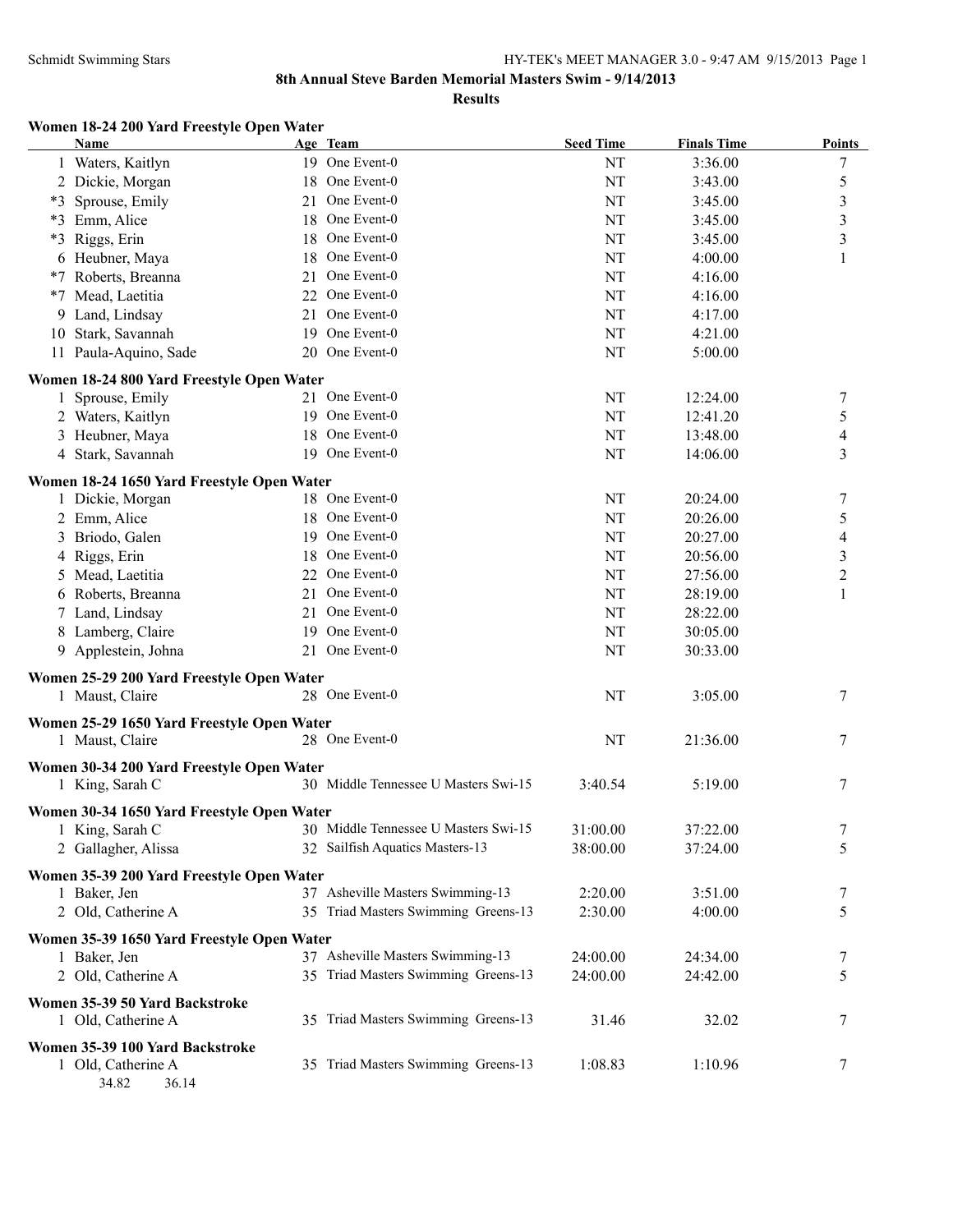**Results**

# **Women 18-24 200 Yard Freestyle Open Water**

| <b>Name</b>   |                                                              | Age Team                             | <b>Seed Time</b> | <b>Finals Time</b> | <b>Points</b>           |
|---------------|--------------------------------------------------------------|--------------------------------------|------------------|--------------------|-------------------------|
|               | 1 Waters, Kaitlyn                                            | 19 One Event-0                       | NT               | 3:36.00            | 7                       |
|               | 2 Dickie, Morgan<br>18                                       | One Event-0                          | NT               | 3:43.00            | 5                       |
| $*3$          | Sprouse, Emily<br>21                                         | One Event-0                          | NT               | 3:45.00            | $\overline{\mathbf{3}}$ |
| $*3$          | Emm, Alice<br>18                                             | One Event-0                          | NT               | 3:45.00            | $\overline{\mathbf{3}}$ |
| *3            | Riggs, Erin<br>18                                            | One Event-0                          | NT               | 3:45.00            | 3                       |
|               | 6 Heubner, Maya<br>18                                        | One Event-0                          | NT               | 4:00.00            | 1                       |
| *7            | Roberts, Breanna<br>21                                       | One Event-0                          | NT               | 4:16.00            |                         |
| *7            | Mead, Laetitia<br>22                                         | One Event-0                          | NT               | 4:16.00            |                         |
|               | 9 Land, Lindsay<br>21                                        | One Event-0                          | NT               | 4:17.00            |                         |
| 10            | Stark, Savannah                                              | 19 One Event-0                       | NT               | 4:21.00            |                         |
|               | 11 Paula-Aquino, Sade                                        | 20 One Event-0                       | NT               | 5:00.00            |                         |
|               | Women 18-24 800 Yard Freestyle Open Water                    |                                      |                  |                    |                         |
|               | 1 Sprouse, Emily                                             | 21 One Event-0                       | NT               | 12:24.00           | 7                       |
|               | 2 Waters, Kaitlyn                                            | 19 One Event-0                       | NT               | 12:41.20           | 5                       |
|               | 3 Heubner, Maya                                              | 18 One Event-0                       | NT               | 13:48.00           | 4                       |
|               | 4 Stark, Savannah                                            | 19 One Event-0                       | NT               | 14:06.00           | 3                       |
|               | Women 18-24 1650 Yard Freestyle Open Water                   |                                      |                  |                    |                         |
|               | 1 Dickie, Morgan                                             | 18 One Event-0                       | NT               | 20:24.00           | 7                       |
| 2 Emm, Alice  | 18                                                           | One Event-0                          | NT               | 20:26.00           | 5                       |
|               | 3 Briodo, Galen<br>19                                        | One Event-0                          | NT               | 20:27.00           | 4                       |
| 4 Riggs, Erin | 18                                                           | One Event-0                          | NT               | 20:56.00           | $\overline{\mathbf{3}}$ |
|               | 5 Mead, Laetitia<br>22                                       | One Event-0                          | NT               | 27:56.00           | $\overline{c}$          |
|               | 6 Roberts, Breanna<br>21                                     | One Event-0                          | NT               | 28:19.00           | 1                       |
|               | 7 Land, Lindsay<br>21                                        | One Event-0                          | NT               | 28:22.00           |                         |
|               | 8 Lamberg, Claire                                            | 19 One Event-0                       | NT               | 30:05.00           |                         |
|               | 9 Applestein, Johna                                          | 21 One Event-0                       | NT               | 30:33.00           |                         |
|               |                                                              |                                      |                  |                    |                         |
|               | Women 25-29 200 Yard Freestyle Open Water<br>1 Maust, Claire | 28 One Event-0                       | NT               | 3:05.00            | 7                       |
|               |                                                              |                                      |                  |                    |                         |
|               | Women 25-29 1650 Yard Freestyle Open Water                   |                                      |                  |                    |                         |
|               | 1 Maust, Claire                                              | 28 One Event-0                       | NT               | 21:36.00           | 7                       |
|               | Women 30-34 200 Yard Freestyle Open Water                    |                                      |                  |                    |                         |
|               | 1 King, Sarah C                                              | 30 Middle Tennessee U Masters Swi-15 | 3:40.54          | 5:19.00            | 7                       |
|               | Women 30-34 1650 Yard Freestyle Open Water                   |                                      |                  |                    |                         |
|               | 1 King, Sarah C                                              | 30 Middle Tennessee U Masters Swi-15 | 31:00.00         | 37:22.00           | 7                       |
|               | 2 Gallagher, Alissa                                          | 32 Sailfish Aquatics Masters-13      | 38:00.00         | 37:24.00           | 5                       |
|               | Women 35-39 200 Yard Freestyle Open Water                    |                                      |                  |                    |                         |
| 1 Baker, Jen  |                                                              | 37 Asheville Masters Swimming-13     | 2:20.00          | 3:51.00            | 7                       |
|               | 2 Old, Catherine A                                           | 35 Triad Masters Swimming Greens-13  | 2:30.00          | 4:00.00            | 5                       |
|               |                                                              |                                      |                  |                    |                         |
|               | Women 35-39 1650 Yard Freestyle Open Water                   | 37 Asheville Masters Swimming-13     | 24:00.00         | 24:34.00           |                         |
| 1 Baker, Jen  |                                                              | 35 Triad Masters Swimming Greens-13  | 24:00.00         | 24:42.00           | 7<br>5                  |
|               | 2 Old, Catherine A                                           |                                      |                  |                    |                         |
|               | Women 35-39 50 Yard Backstroke                               |                                      |                  |                    |                         |
|               | 1 Old, Catherine A                                           | 35 Triad Masters Swimming Greens-13  | 31.46            | 32.02              | 7                       |
|               | Women 35-39 100 Yard Backstroke                              |                                      |                  |                    |                         |
|               | 1 Old, Catherine A                                           | 35 Triad Masters Swimming Greens-13  | 1:08.83          | 1:10.96            | 7                       |
|               | 34.82<br>36.14                                               |                                      |                  |                    |                         |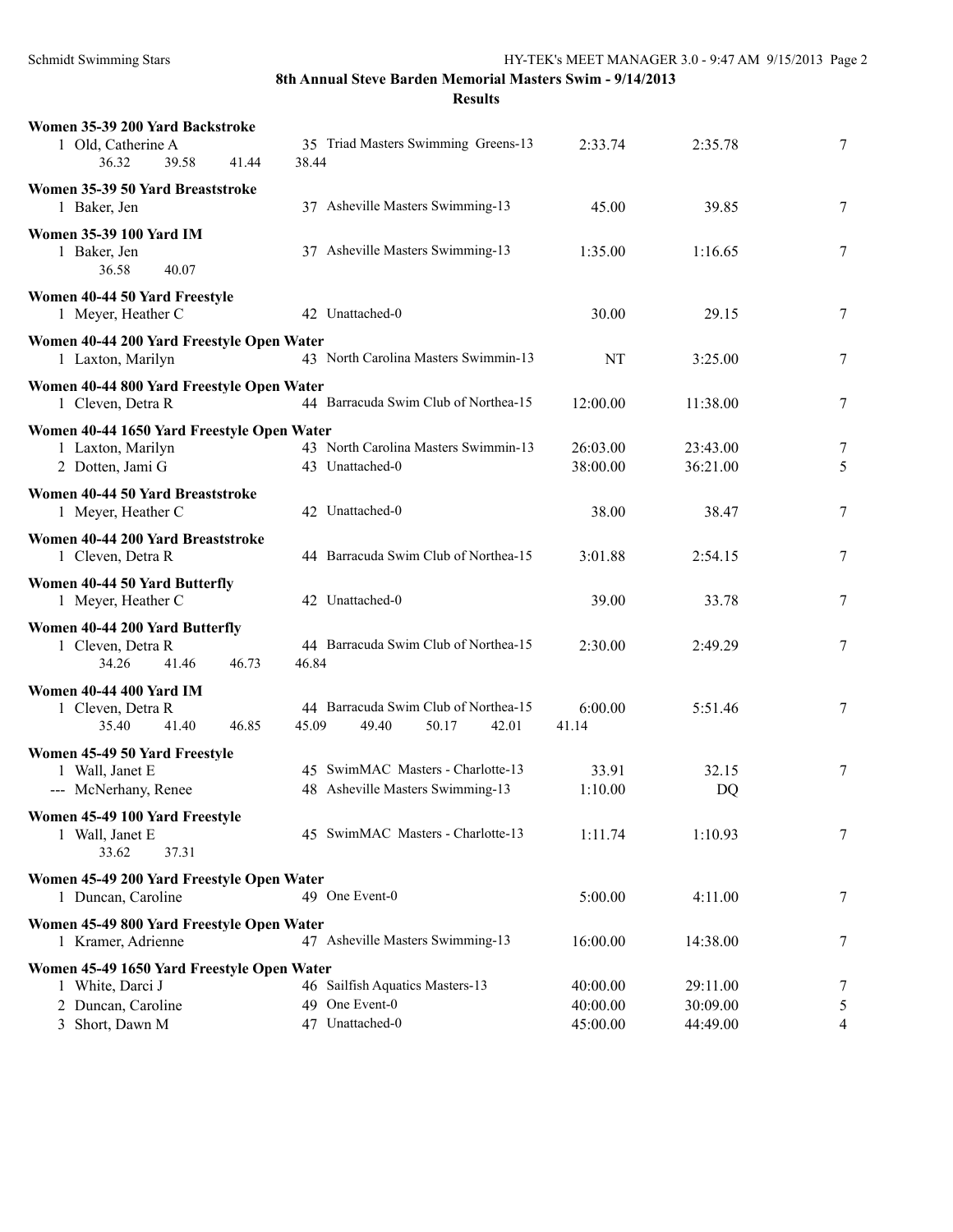**Results**

| Women 35-39 200 Yard Backstroke<br>1 Old, Catherine A<br>36.32<br>39.58<br>41.44 | 35 Triad Masters Swimming Greens-13<br>38.44                             | 2:33.74              | 2:35.78              | 7      |
|----------------------------------------------------------------------------------|--------------------------------------------------------------------------|----------------------|----------------------|--------|
|                                                                                  |                                                                          |                      |                      |        |
| Women 35-39 50 Yard Breaststroke<br>1 Baker, Jen                                 | 37 Asheville Masters Swimming-13                                         | 45.00                | 39.85                | 7      |
| <b>Women 35-39 100 Yard IM</b><br>1 Baker, Jen<br>36.58<br>40.07                 | 37 Asheville Masters Swimming-13                                         | 1:35.00              | 1:16.65              | 7      |
| Women 40-44 50 Yard Freestyle<br>1 Meyer, Heather C                              | 42 Unattached-0                                                          | 30.00                | 29.15                | 7      |
| Women 40-44 200 Yard Freestyle Open Water<br>1 Laxton, Marilyn                   | 43 North Carolina Masters Swimmin-13                                     | NT                   | 3:25.00              | 7      |
| Women 40-44 800 Yard Freestyle Open Water<br>1 Cleven, Detra R                   | 44 Barracuda Swim Club of Northea-15                                     | 12:00.00             | 11:38.00             | 7      |
| Women 40-44 1650 Yard Freestyle Open Water                                       |                                                                          |                      |                      |        |
| 1 Laxton, Marilyn<br>2 Dotten, Jami G                                            | 43 North Carolina Masters Swimmin-13<br>43 Unattached-0                  | 26:03.00<br>38:00.00 | 23:43.00<br>36:21.00 | 7<br>5 |
| Women 40-44 50 Yard Breaststroke<br>1 Meyer, Heather C                           | 42 Unattached-0                                                          | 38.00                | 38.47                | 7      |
| Women 40-44 200 Yard Breaststroke<br>1 Cleven, Detra R                           | 44 Barracuda Swim Club of Northea-15                                     | 3:01.88              | 2:54.15              | 7      |
| Women 40-44 50 Yard Butterfly<br>1 Meyer, Heather C                              | 42 Unattached-0                                                          | 39.00                | 33.78                | 7      |
| Women 40-44 200 Yard Butterfly<br>1 Cleven, Detra R<br>34.26<br>41.46<br>46.73   | 44 Barracuda Swim Club of Northea-15<br>46.84                            | 2:30.00              | 2:49.29              | 7      |
| <b>Women 40-44 400 Yard IM</b><br>1 Cleven, Detra R<br>35.40<br>41.40<br>46.85   | 44 Barracuda Swim Club of Northea-15<br>45.09<br>49.40<br>50.17<br>42.01 | 6:00.00<br>41.14     | 5:51.46              | 7      |
| Women 45-49 50 Yard Freestyle                                                    |                                                                          |                      |                      |        |
| 1 Wall, Janet E<br>--- McNerhany, Renee                                          | 45 SwimMAC Masters - Charlotte-13<br>48 Asheville Masters Swimming-13    | 33.91<br>1:10.00     | 32.15<br>DQ          | 7      |
| Women 45-49 100 Yard Freestyle<br>1 Wall, Janet E<br>33.62<br>37.31              | 45 SwimMAC Masters - Charlotte-13                                        | 1:11.74              | 1:10.93              | 7      |
| Women 45-49 200 Yard Freestyle Open Water<br>1 Duncan, Caroline                  | 49 One Event-0                                                           | 5:00.00              | 4:11.00              | 7      |
| Women 45-49 800 Yard Freestyle Open Water<br>1 Kramer, Adrienne                  | 47 Asheville Masters Swimming-13                                         | 16:00.00             | 14:38.00             | 7      |
| Women 45-49 1650 Yard Freestyle Open Water                                       |                                                                          |                      |                      |        |
| 1 White, Darci J                                                                 | 46 Sailfish Aquatics Masters-13                                          | 40:00.00             | 29:11.00             | 7      |
| 2 Duncan, Caroline                                                               | 49 One Event-0                                                           | 40:00.00             | 30:09.00             | 5      |
| 3 Short, Dawn M                                                                  | 47 Unattached-0                                                          | 45:00.00             | 44:49.00             | 4      |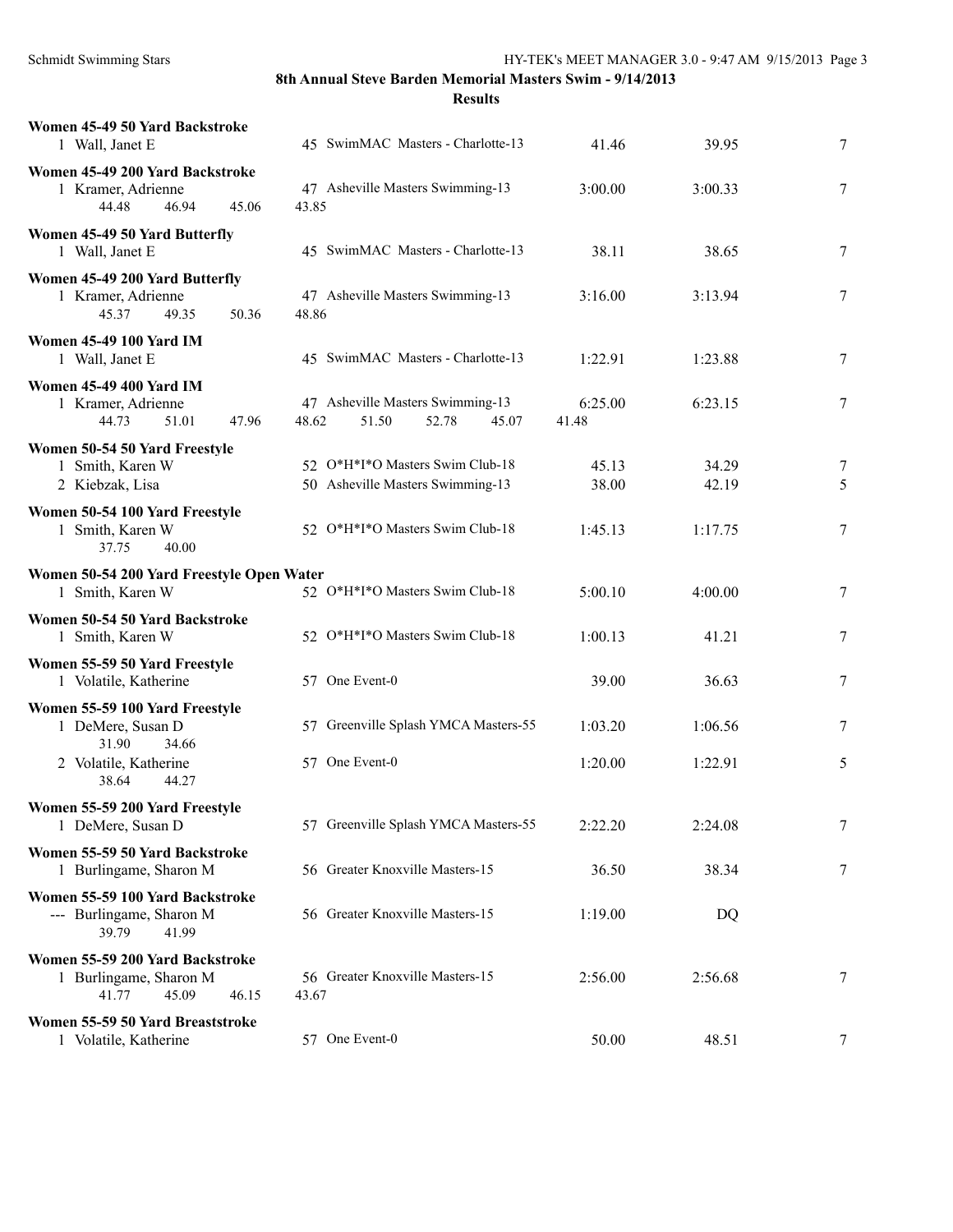| Women 45-49 50 Yard Backstroke<br>1 Wall, Janet E                                    | 45 SwimMAC Masters - Charlotte-13                                    | 41.46            | 39.95          | 7              |
|--------------------------------------------------------------------------------------|----------------------------------------------------------------------|------------------|----------------|----------------|
| Women 45-49 200 Yard Backstroke<br>1 Kramer, Adrienne<br>44.48<br>46.94<br>45.06     | 47 Asheville Masters Swimming-13<br>43.85                            | 3:00.00          | 3:00.33        | 7              |
| Women 45-49 50 Yard Butterfly<br>1 Wall, Janet E                                     | 45 SwimMAC Masters - Charlotte-13                                    | 38.11            | 38.65          | 7              |
| Women 45-49 200 Yard Butterfly<br>1 Kramer, Adrienne<br>50.36<br>45.37<br>49.35      | 47 Asheville Masters Swimming-13<br>48.86                            | 3:16.00          | 3:13.94        | 7              |
| <b>Women 45-49 100 Yard IM</b><br>1 Wall, Janet E                                    | 45 SwimMAC Masters - Charlotte-13                                    | 1:22.91          | 1:23.88        | 7              |
| <b>Women 45-49 400 Yard IM</b><br>1 Kramer, Adrienne<br>44.73<br>47.96<br>51.01      | 47 Asheville Masters Swimming-13<br>51.50<br>48.62<br>52.78<br>45.07 | 6:25.00<br>41.48 | 6:23.15        | 7              |
| Women 50-54 50 Yard Freestyle<br>1 Smith, Karen W<br>2 Kiebzak, Lisa                 | 52 O*H*I*O Masters Swim Club-18<br>50 Asheville Masters Swimming-13  | 45.13<br>38.00   | 34.29<br>42.19 | 7<br>5         |
| Women 50-54 100 Yard Freestyle<br>1 Smith, Karen W<br>37.75<br>40.00                 | 52 O*H*I*O Masters Swim Club-18                                      | 1:45.13          | 1:17.75        | 7              |
| Women 50-54 200 Yard Freestyle Open Water<br>1 Smith, Karen W                        | 52 O*H*I*O Masters Swim Club-18                                      | 5:00.10          | 4:00.00        | 7              |
| Women 50-54 50 Yard Backstroke<br>1 Smith, Karen W                                   | 52 O*H*I*O Masters Swim Club-18                                      | 1:00.13          | 41.21          | 7              |
| Women 55-59 50 Yard Freestyle<br>1 Volatile, Katherine                               | 57 One Event-0                                                       | 39.00            | 36.63          | 7              |
| Women 55-59 100 Yard Freestyle<br>1 DeMere, Susan D<br>31.90<br>34.66                | 57 Greenville Splash YMCA Masters-55                                 | 1:03.20          | 1:06.56        | 7              |
| 2 Volatile, Katherine<br>38.64<br>44.27                                              | 57 One Event-0                                                       | 1:20.00          | 1:22.91        | 5              |
| Women 55-59 200 Yard Freestyle<br>1 DeMere, Susan D                                  | 57 Greenville Splash YMCA Masters-55                                 | 2:22.20          | 2:24.08        | $\overline{7}$ |
| Women 55-59 50 Yard Backstroke<br>1 Burlingame, Sharon M                             | 56 Greater Knoxville Masters-15                                      | 36.50            | 38.34          | 7              |
| Women 55-59 100 Yard Backstroke<br>--- Burlingame, Sharon M<br>39.79<br>41.99        | 56 Greater Knoxville Masters-15                                      | 1:19.00          | DQ             |                |
| Women 55-59 200 Yard Backstroke<br>1 Burlingame, Sharon M<br>45.09<br>46.15<br>41.77 | 56 Greater Knoxville Masters-15<br>43.67                             | 2:56.00          | 2:56.68        | 7              |
| Women 55-59 50 Yard Breaststroke<br>1 Volatile, Katherine                            | 57 One Event-0                                                       | 50.00            | 48.51          | $\tau$         |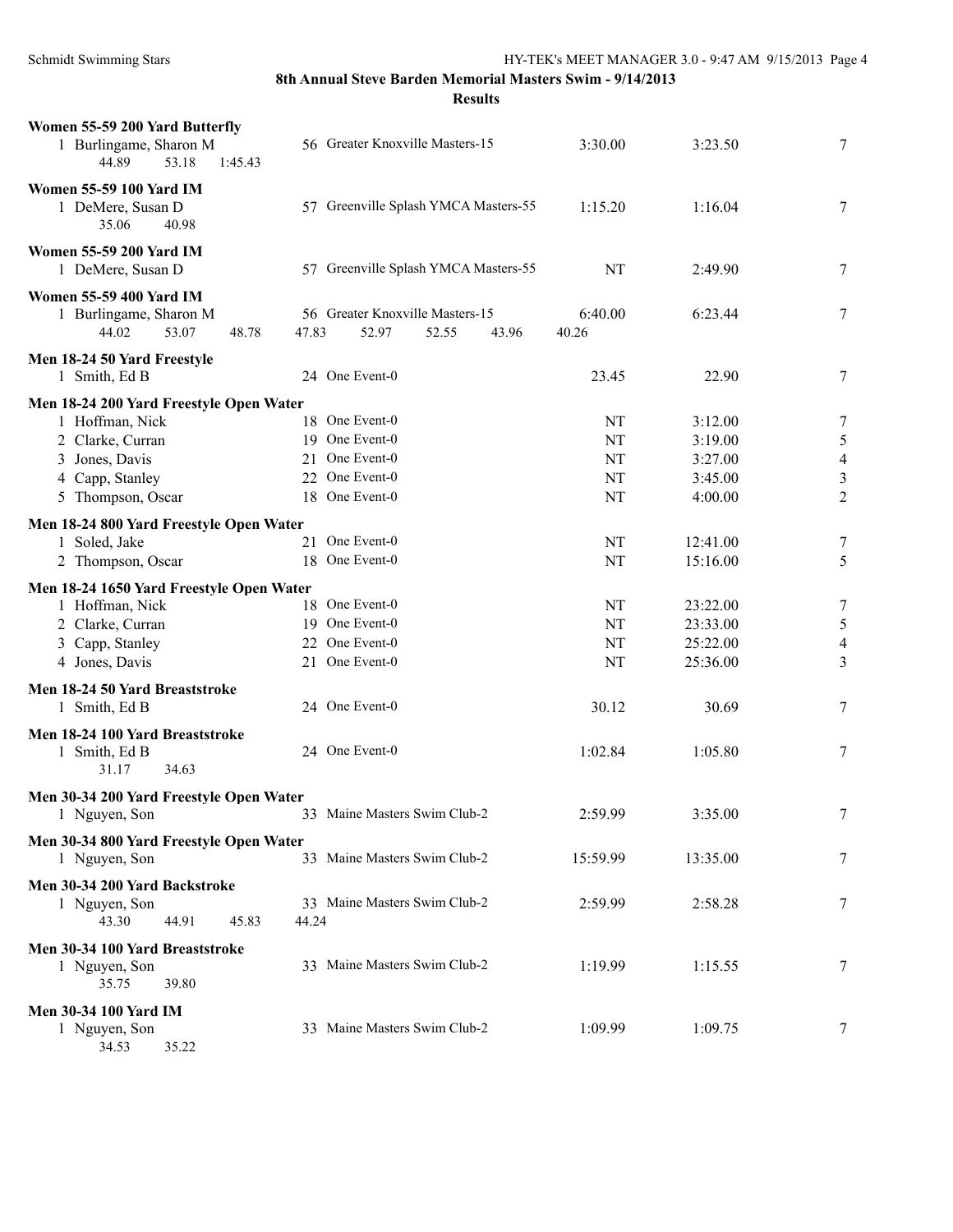| Women 55-59 200 Yard Butterfly<br>1 Burlingame, Sharon M<br>53.18<br>44.89<br>1:45.43                                | 56 Greater Knoxville Masters-15                                      | 3:30.00              | 3:23.50                                      | 7                                              |
|----------------------------------------------------------------------------------------------------------------------|----------------------------------------------------------------------|----------------------|----------------------------------------------|------------------------------------------------|
| <b>Women 55-59 100 Yard IM</b><br>1 DeMere, Susan D<br>35.06<br>40.98                                                | 57 Greenville Splash YMCA Masters-55                                 | 1:15.20              | 1:16.04                                      | 7                                              |
| Women 55-59 200 Yard IM<br>1 DeMere, Susan D                                                                         | 57 Greenville Splash YMCA Masters-55                                 | NT                   | 2:49.90                                      | 7                                              |
| <b>Women 55-59 400 Yard IM</b><br>1 Burlingame, Sharon M<br>44.02<br>53.07<br>48.78                                  | 56 Greater Knoxville Masters-15<br>47.83<br>52.97<br>52.55<br>43.96  | 6:40.00<br>40.26     | 6:23.44                                      | 7                                              |
| Men 18-24 50 Yard Freestyle<br>1 Smith, Ed B                                                                         | 24 One Event-0                                                       | 23.45                | 22.90                                        | $\tau$                                         |
| Men 18-24 200 Yard Freestyle Open Water<br>1 Hoffman, Nick<br>2 Clarke, Curran                                       | 18 One Event-0<br>19 One Event-0                                     | NT<br>NT             | 3:12.00<br>3:19.00                           | 7<br>$\mathfrak s$                             |
| 3 Jones, Davis<br>4 Capp, Stanley<br>5 Thompson, Oscar                                                               | 21 One Event-0<br>22 One Event-0<br>18 One Event-0                   | NT<br>NT<br>NT       | 3:27.00<br>3:45.00<br>4:00.00                | $\overline{4}$<br>$\sqrt{3}$<br>$\overline{2}$ |
| Men 18-24 800 Yard Freestyle Open Water<br>1 Soled, Jake<br>2 Thompson, Oscar                                        | 21 One Event-0<br>18 One Event-0                                     | NT<br>NT             | 12:41.00<br>15:16.00                         | $\tau$<br>5                                    |
| Men 18-24 1650 Yard Freestyle Open Water<br>1 Hoffman, Nick<br>2 Clarke, Curran<br>3 Capp, Stanley<br>4 Jones, Davis | 18 One Event-0<br>19 One Event-0<br>22 One Event-0<br>21 One Event-0 | NT<br>NT<br>NT<br>NT | 23:22.00<br>23:33.00<br>25:22.00<br>25:36.00 | $\tau$<br>$\mathfrak s$<br>$\overline{4}$<br>3 |
| Men 18-24 50 Yard Breaststroke<br>1 Smith, Ed B                                                                      | 24 One Event-0                                                       | 30.12                | 30.69                                        | 7                                              |
| Men 18-24 100 Yard Breaststroke<br>1 Smith, Ed B<br>31.17<br>34.63                                                   | 24 One Event-0                                                       | 1:02.84              | 1:05.80                                      | $\tau$                                         |
| Men 30-34 200 Yard Freestyle Open Water<br>1 Nguyen, Son                                                             | 33 Maine Masters Swim Club-2                                         | 2:59.99              | 3:35.00                                      | 7                                              |
| Men 30-34 800 Yard Freestyle Open Water<br>1 Nguyen, Son                                                             | 33 Maine Masters Swim Club-2                                         | 15:59.99             | 13:35.00                                     | 7                                              |
| Men 30-34 200 Yard Backstroke<br>1 Nguyen, Son<br>43.30<br>44.91<br>45.83                                            | 33 Maine Masters Swim Club-2<br>44.24                                | 2:59.99              | 2:58.28                                      | 7                                              |
| Men 30-34 100 Yard Breaststroke<br>1 Nguyen, Son<br>35.75<br>39.80                                                   | 33 Maine Masters Swim Club-2                                         | 1:19.99              | 1:15.55                                      | 7                                              |
| <b>Men 30-34 100 Yard IM</b><br>1 Nguyen, Son<br>34.53<br>35.22                                                      | 33 Maine Masters Swim Club-2                                         | 1:09.99              | 1:09.75                                      | 7                                              |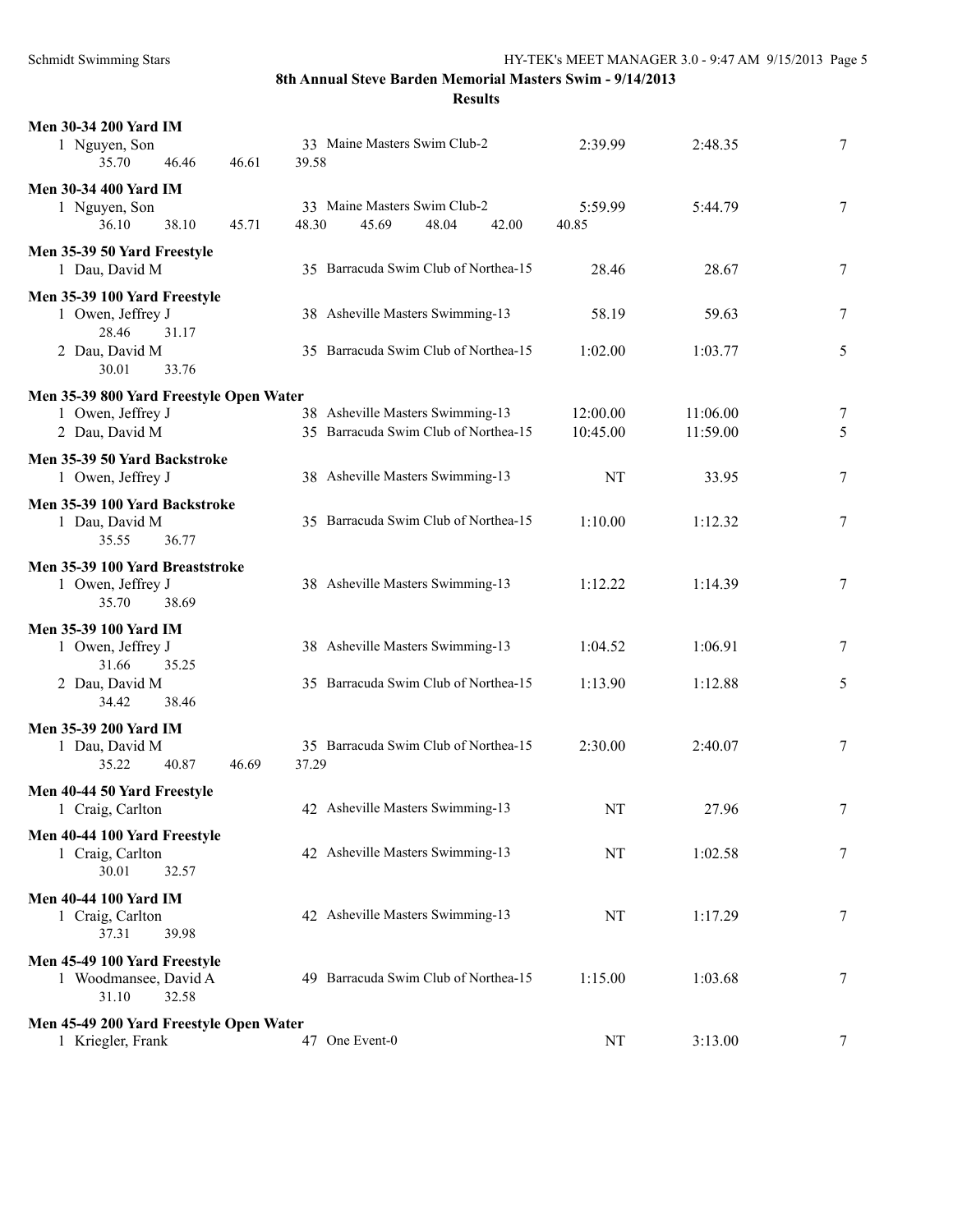| <b>Men 30-34 200 Yard IM</b><br>1 Nguyen, Son<br>35.70<br>46.61<br>46.46                         | 33 Maine Masters Swim Club-2<br>39.58                                    | 2:39.99              | 2:48.35              | 7      |
|--------------------------------------------------------------------------------------------------|--------------------------------------------------------------------------|----------------------|----------------------|--------|
| <b>Men 30-34 400 Yard IM</b><br>1 Nguyen, Son<br>38.10<br>36.10<br>45.71                         | 33 Maine Masters Swim Club-2<br>48.30<br>45.69<br>48.04<br>42.00         | 5:59.99<br>40.85     | 5:44.79              | 7      |
| Men 35-39 50 Yard Freestyle<br>1 Dau, David M                                                    | 35 Barracuda Swim Club of Northea-15                                     | 28.46                | 28.67                | 7      |
| Men 35-39 100 Yard Freestyle<br>1 Owen, Jeffrey J                                                | 38 Asheville Masters Swimming-13                                         | 58.19                | 59.63                | 7      |
| 28.46<br>31.17<br>2 Dau, David M<br>30.01<br>33.76                                               | 35 Barracuda Swim Club of Northea-15                                     | 1:02.00              | 1:03.77              | 5      |
| Men 35-39 800 Yard Freestyle Open Water<br>1 Owen, Jeffrey J<br>2 Dau, David M                   | 38 Asheville Masters Swimming-13<br>35 Barracuda Swim Club of Northea-15 | 12:00.00<br>10:45.00 | 11:06.00<br>11:59.00 | 7<br>5 |
| Men 35-39 50 Yard Backstroke<br>1 Owen, Jeffrey J                                                | 38 Asheville Masters Swimming-13                                         | NT                   | 33.95                | 7      |
| Men 35-39 100 Yard Backstroke<br>1 Dau, David M<br>35.55<br>36.77                                | 35 Barracuda Swim Club of Northea-15                                     | 1:10.00              | 1:12.32              | 7      |
| Men 35-39 100 Yard Breaststroke<br>1 Owen, Jeffrey J<br>35.70<br>38.69                           | 38 Asheville Masters Swimming-13                                         | 1:12.22              | 1:14.39              | 7      |
| Men 35-39 100 Yard IM<br>1 Owen, Jeffrey J<br>31.66<br>35.25<br>2 Dau, David M<br>34.42<br>38.46 | 38 Asheville Masters Swimming-13<br>35 Barracuda Swim Club of Northea-15 | 1:04.52<br>1:13.90   | 1:06.91<br>1:12.88   | 7<br>5 |
| <b>Men 35-39 200 Yard IM</b><br>1 Dau, David M<br>35.22<br>40.87<br>46.69                        | 35 Barracuda Swim Club of Northea-15<br>37.29                            | 2:30.00              | 2:40.07              | 7      |
| Men 40-44 50 Yard Freestyle<br>1 Craig, Carlton                                                  | 42 Asheville Masters Swimming-13                                         | NT                   | 27.96                | 7      |
| Men 40-44 100 Yard Freestyle<br>1 Craig, Carlton<br>30.01<br>32.57                               | 42 Asheville Masters Swimming-13                                         | NT                   | 1:02.58              | 7      |
| <b>Men 40-44 100 Yard IM</b><br>1 Craig, Carlton<br>37.31<br>39.98                               | 42 Asheville Masters Swimming-13                                         | NT                   | 1:17.29              | 7      |
| Men 45-49 100 Yard Freestyle<br>1 Woodmansee, David A<br>31.10<br>32.58                          | 49 Barracuda Swim Club of Northea-15                                     | 1:15.00              | 1:03.68              | 7      |
| Men 45-49 200 Yard Freestyle Open Water<br>1 Kriegler, Frank                                     | 47 One Event-0                                                           | NT                   | 3:13.00              | $\tau$ |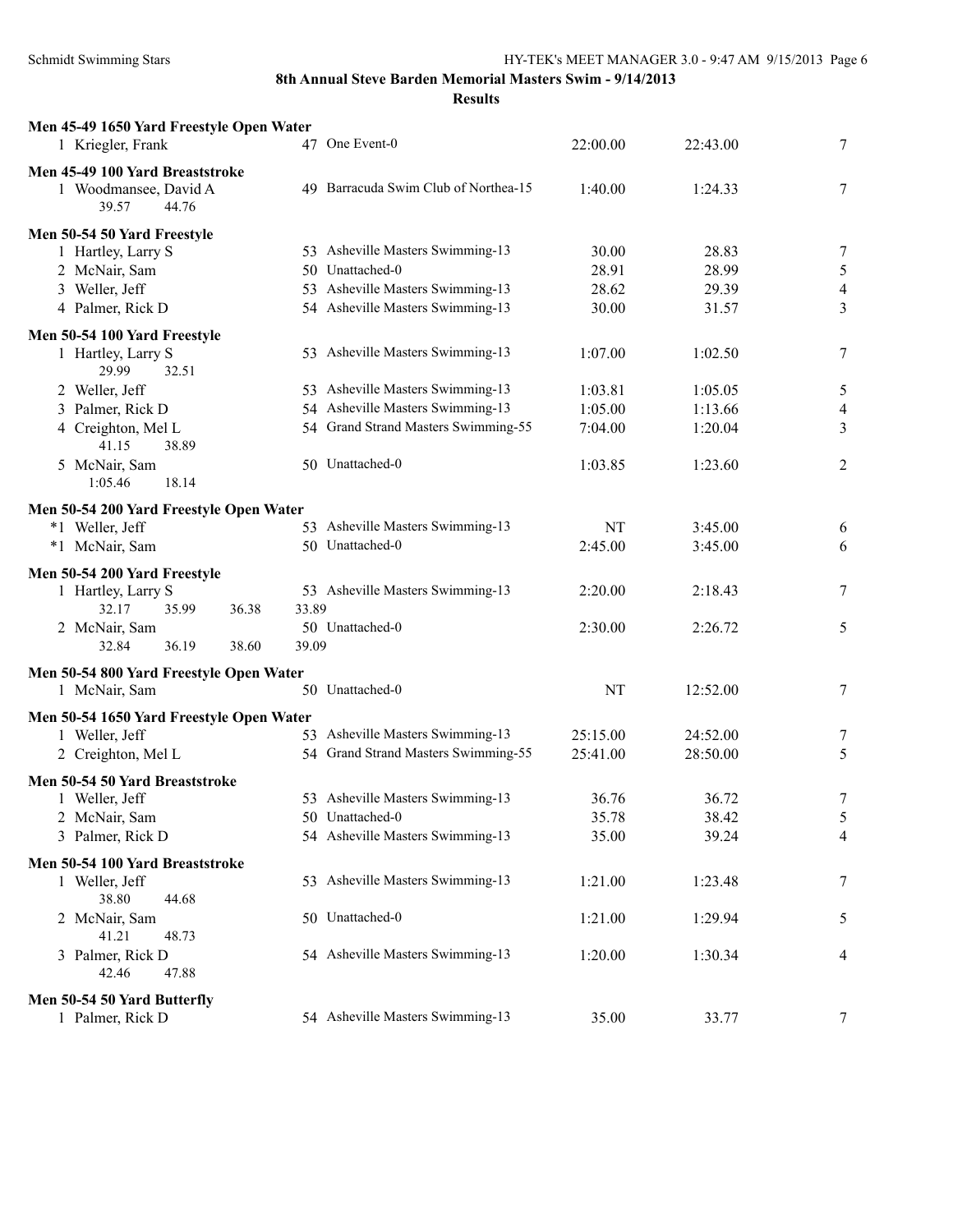| Men 45-49 1650 Yard Freestyle Open Water<br>1 Kriegler, Frank                                                   | 47 One Event-0                                                                                                                 | 22:00.00                                 | 22:43.00                                 | 7                                          |
|-----------------------------------------------------------------------------------------------------------------|--------------------------------------------------------------------------------------------------------------------------------|------------------------------------------|------------------------------------------|--------------------------------------------|
| Men 45-49 100 Yard Breaststroke<br>1 Woodmansee, David A<br>39.57<br>44.76                                      | 49 Barracuda Swim Club of Northea-15                                                                                           | 1:40.00                                  | 1:24.33                                  | 7                                          |
| Men 50-54 50 Yard Freestyle<br>1 Hartley, Larry S<br>2 McNair, Sam<br>3 Weller, Jeff<br>4 Palmer, Rick D        | 53 Asheville Masters Swimming-13<br>50 Unattached-0<br>53 Asheville Masters Swimming-13<br>54 Asheville Masters Swimming-13    | 30.00<br>28.91<br>28.62<br>30.00         | 28.83<br>28.99<br>29.39<br>31.57         | 7<br>$\mathfrak{S}$<br>$\overline{4}$<br>3 |
|                                                                                                                 |                                                                                                                                |                                          |                                          |                                            |
| Men 50-54 100 Yard Freestyle<br>1 Hartley, Larry S<br>29.99<br>32.51                                            | 53 Asheville Masters Swimming-13                                                                                               | 1:07.00                                  | 1:02.50                                  | 7                                          |
| 2 Weller, Jeff<br>3 Palmer, Rick D<br>4 Creighton, Mel L<br>41.15<br>38.89<br>5 McNair, Sam<br>1:05.46<br>18.14 | 53 Asheville Masters Swimming-13<br>54 Asheville Masters Swimming-13<br>54 Grand Strand Masters Swimming-55<br>50 Unattached-0 | 1:03.81<br>1:05.00<br>7:04.00<br>1:03.85 | 1:05.05<br>1:13.66<br>1:20.04<br>1:23.60 | 5<br>4<br>3<br>$\overline{2}$              |
| Men 50-54 200 Yard Freestyle Open Water<br>*1 Weller, Jeff<br>*1 McNair, Sam                                    | 53 Asheville Masters Swimming-13<br>50 Unattached-0                                                                            | NT<br>2:45.00                            | 3:45.00<br>3:45.00                       | 6<br>6                                     |
| Men 50-54 200 Yard Freestyle<br>1 Hartley, Larry S<br>32.17<br>35.99<br>36.38<br>2 McNair, Sam                  | 53 Asheville Masters Swimming-13<br>33.89<br>50 Unattached-0                                                                   | 2:20.00<br>2:30.00                       | 2:18.43<br>2:26.72                       | 7<br>5                                     |
| 32.84<br>36.19<br>38.60<br>Men 50-54 800 Yard Freestyle Open Water                                              | 39.09                                                                                                                          |                                          |                                          |                                            |
| 1 McNair, Sam                                                                                                   | 50 Unattached-0                                                                                                                | NT                                       | 12:52.00                                 | 7                                          |
| Men 50-54 1650 Yard Freestyle Open Water<br>1 Weller, Jeff<br>2 Creighton, Mel L                                | 53 Asheville Masters Swimming-13<br>54 Grand Strand Masters Swimming-55                                                        | 25:15.00<br>25:41.00                     | 24:52.00<br>28:50.00                     | 7<br>5                                     |
| Men 50-54 50 Yard Breaststroke<br>1 Weller, Jeff<br>2 McNair, Sam<br>3 Palmer, Rick D                           | 53 Asheville Masters Swimming-13<br>50 Unattached-0<br>54 Asheville Masters Swimming-13                                        | 36.76<br>35.78<br>35.00                  | 36.72<br>38.42<br>39.24                  | 7<br>5<br>4                                |
| Men 50-54 100 Yard Breaststroke                                                                                 |                                                                                                                                |                                          |                                          |                                            |
| 1 Weller, Jeff<br>38.80<br>44.68                                                                                | 53 Asheville Masters Swimming-13                                                                                               | 1:21.00                                  | 1:23.48                                  | 7                                          |
| 2 McNair, Sam<br>41.21<br>48.73                                                                                 | 50 Unattached-0                                                                                                                | 1:21.00                                  | 1:29.94                                  | 5                                          |
| 3 Palmer, Rick D<br>42.46<br>47.88                                                                              | 54 Asheville Masters Swimming-13                                                                                               | 1:20.00                                  | 1:30.34                                  | 4                                          |
| Men 50-54 50 Yard Butterfly<br>1 Palmer, Rick D                                                                 | 54 Asheville Masters Swimming-13                                                                                               | 35.00                                    | 33.77                                    | $7\phantom{.0}$                            |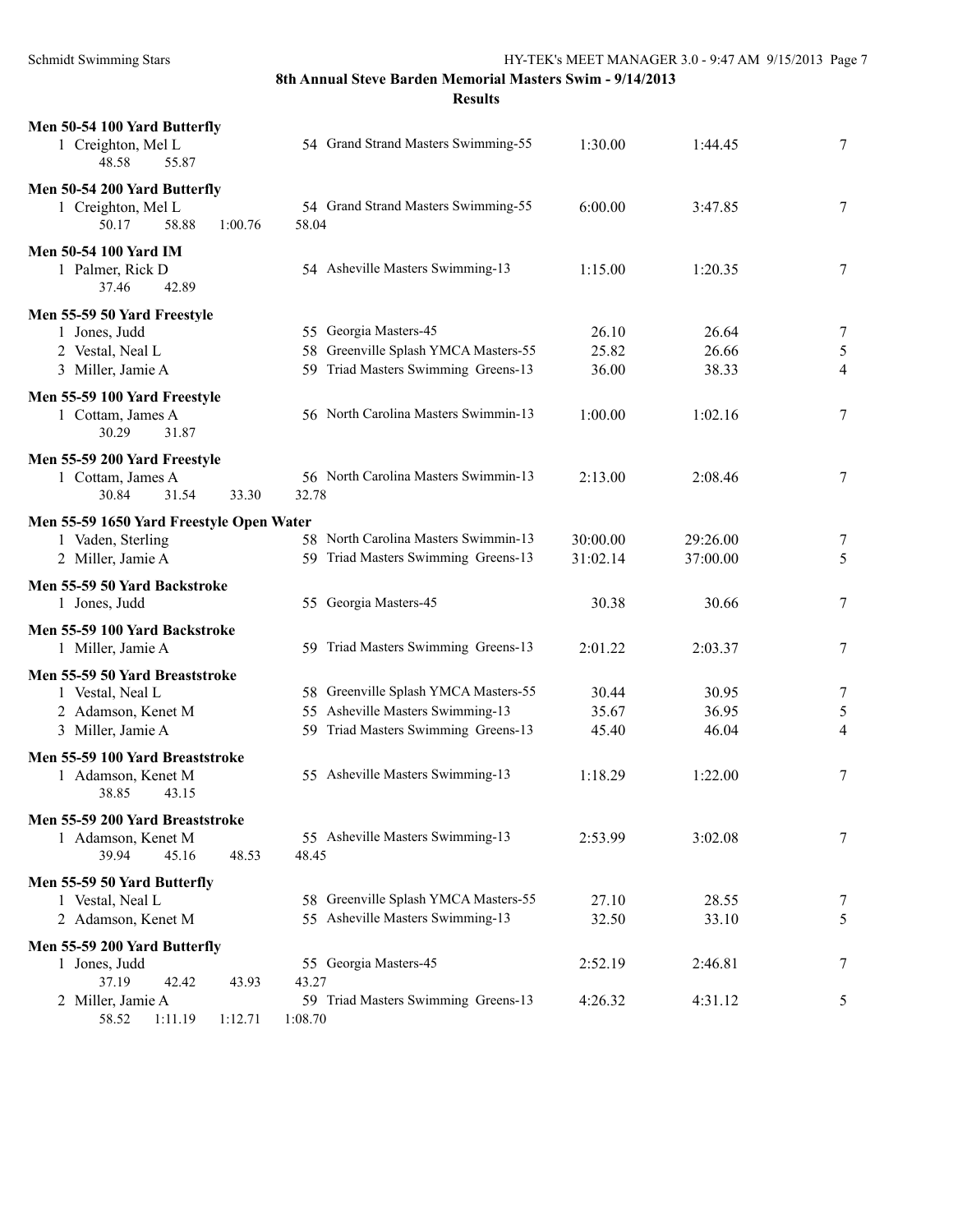Schmidt Swimming Stars HY-TEK's MEET MANAGER 3.0 - 9:47 AM 9/15/2013 Page 7

| Men 50-54 100 Yard Butterfly<br>1 Creighton, Mel L<br>48.58<br>55.87                          | 54 Grand Strand Masters Swimming-55                                                                             | 1:30.00                 | 1:44.45                 | 7                        |
|-----------------------------------------------------------------------------------------------|-----------------------------------------------------------------------------------------------------------------|-------------------------|-------------------------|--------------------------|
| Men 50-54 200 Yard Butterfly<br>1 Creighton, Mel L<br>50.17<br>58.88<br>1:00.76               | 54 Grand Strand Masters Swimming-55<br>58.04                                                                    | 6:00.00                 | 3:47.85                 | 7                        |
| <b>Men 50-54 100 Yard IM</b><br>1 Palmer, Rick D<br>37.46<br>42.89                            | 54 Asheville Masters Swimming-13                                                                                | 1:15.00                 | 1:20.35                 | 7                        |
| Men 55-59 50 Yard Freestyle<br>1 Jones, Judd<br>2 Vestal, Neal L<br>3 Miller, Jamie A         | 55 Georgia Masters-45<br>Greenville Splash YMCA Masters-55<br>58<br>59 Triad Masters Swimming Greens-13         | 26.10<br>25.82<br>36.00 | 26.64<br>26.66<br>38.33 | 7<br>5<br>$\overline{4}$ |
| Men 55-59 100 Yard Freestyle<br>1 Cottam, James A<br>30.29<br>31.87                           | 56 North Carolina Masters Swimmin-13                                                                            | 1:00.00                 | 1:02.16                 | 7                        |
| Men 55-59 200 Yard Freestyle<br>1 Cottam, James A<br>31.54<br>30.84<br>33.30                  | 56 North Carolina Masters Swimmin-13<br>32.78                                                                   | 2:13.00                 | 2:08.46                 | 7                        |
| Men 55-59 1650 Yard Freestyle Open Water<br>1 Vaden, Sterling<br>2 Miller, Jamie A            | 58 North Carolina Masters Swimmin-13<br>59 Triad Masters Swimming Greens-13                                     | 30:00.00<br>31:02.14    | 29:26.00<br>37:00.00    | 7<br>5                   |
| Men 55-59 50 Yard Backstroke<br>1 Jones, Judd                                                 | 55 Georgia Masters-45                                                                                           | 30.38                   | 30.66                   | 7                        |
| Men 55-59 100 Yard Backstroke<br>1 Miller, Jamie A                                            | 59 Triad Masters Swimming Greens-13                                                                             | 2:01.22                 | 2:03.37                 | 7                        |
| Men 55-59 50 Yard Breaststroke<br>1 Vestal, Neal L<br>2 Adamson, Kenet M<br>3 Miller, Jamie A | 58 Greenville Splash YMCA Masters-55<br>55 Asheville Masters Swimming-13<br>59 Triad Masters Swimming Greens-13 | 30.44<br>35.67<br>45.40 | 30.95<br>36.95<br>46.04 | 7<br>5<br>$\overline{4}$ |
| Men 55-59 100 Yard Breaststroke<br>1 Adamson, Kenet M<br>38.85<br>43.15                       | 55 Asheville Masters Swimming-13                                                                                | 1:18.29                 | 1:22.00                 | 7                        |
| Men 55-59 200 Yard Breaststroke<br>1 Adamson, Kenet M<br>39.94<br>45.16<br>48.53              | 55 Asheville Masters Swimming-13<br>48.45                                                                       | 2:53.99                 | 3:02.08                 | 7                        |
| Men 55-59 50 Yard Butterfly<br>1 Vestal, Neal L<br>2 Adamson, Kenet M                         | 58 Greenville Splash YMCA Masters-55<br>55 Asheville Masters Swimming-13                                        | 27.10<br>32.50          | 28.55<br>33.10          | 7<br>5                   |
| Men 55-59 200 Yard Butterfly<br>1 Jones, Judd<br>37.19<br>42.42<br>43.93                      | 55 Georgia Masters-45<br>43.27                                                                                  | 2:52.19                 | 2:46.81                 | 7                        |
| 2 Miller, Jamie A<br>58.52 1:11.19<br>1:12.71                                                 | 59 Triad Masters Swimming Greens-13<br>1:08.70                                                                  | 4:26.32                 | 4:31.12                 | 5                        |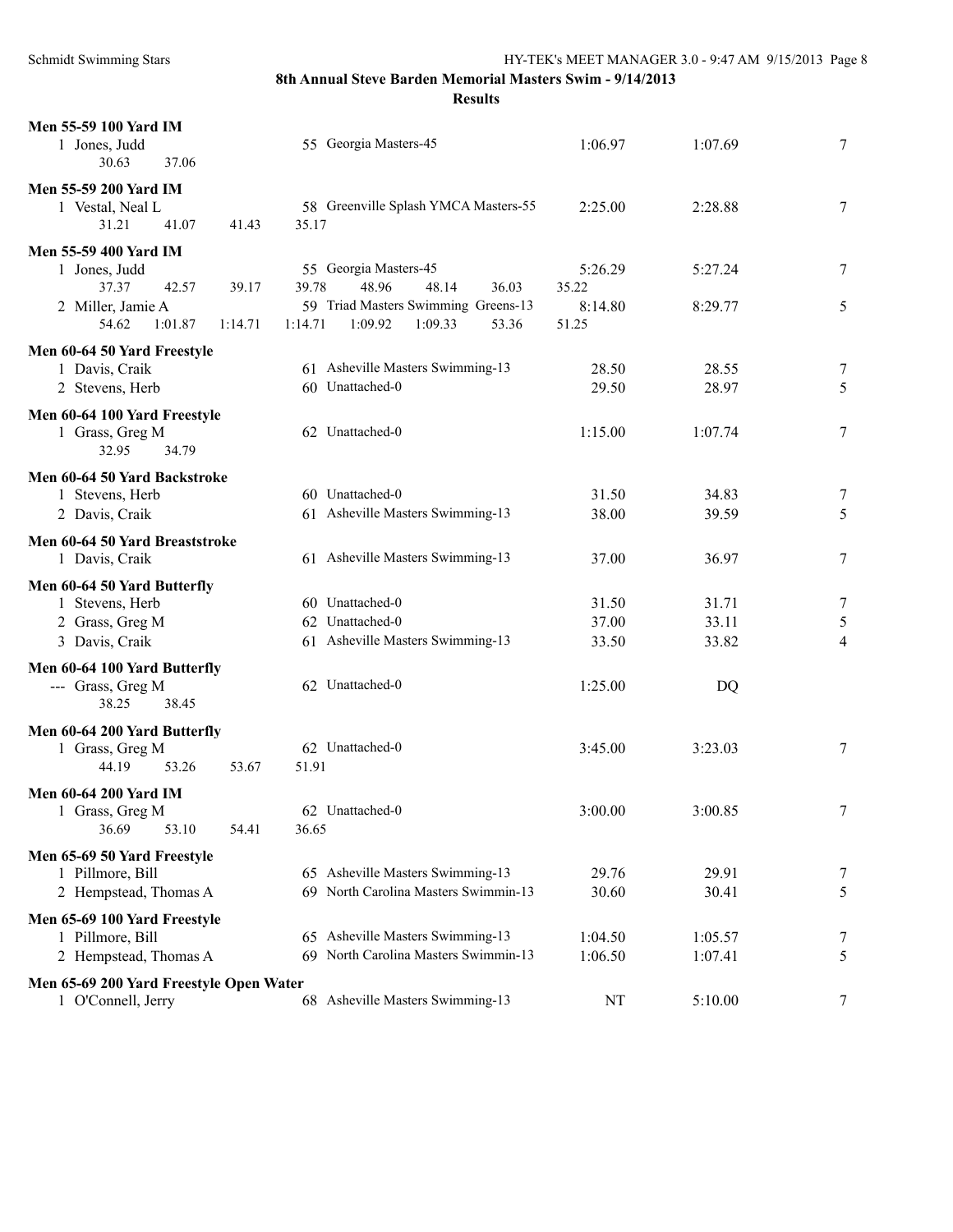| Men 55-59 100 Yard IM                                         |         |                                                                          |         |                    |                |
|---------------------------------------------------------------|---------|--------------------------------------------------------------------------|---------|--------------------|----------------|
| 1 Jones, Judd                                                 |         | 55 Georgia Masters-45                                                    | 1:06.97 | 1:07.69            | 7              |
| 30.63<br>37.06                                                |         |                                                                          |         |                    |                |
| <b>Men 55-59 200 Yard IM</b>                                  |         |                                                                          |         |                    |                |
| 1 Vestal, Neal L<br>31.21<br>41.07                            | 41.43   | 58 Greenville Splash YMCA Masters-55<br>35.17                            | 2:25.00 | 2:28.88            | 7              |
| Men 55-59 400 Yard IM                                         |         |                                                                          |         |                    |                |
| 1 Jones, Judd                                                 |         | 55 Georgia Masters-45                                                    | 5:26.29 | 5:27.24            | 7              |
| 37.37<br>42.57                                                | 39.17   | 39.78<br>48.96<br>48.14<br>36.03                                         | 35.22   |                    |                |
| 2 Miller, Jamie A                                             |         | 59 Triad Masters Swimming Greens-13                                      | 8:14.80 | 8:29.77            | 5              |
| 54.62<br>1:01.87                                              | 1:14.71 | 53.36<br>1:14.71<br>1:09.92<br>1:09.33                                   | 51.25   |                    |                |
| Men 60-64 50 Yard Freestyle                                   |         |                                                                          |         |                    |                |
| 1 Davis, Craik                                                |         | 61 Asheville Masters Swimming-13                                         | 28.50   | 28.55              | 7              |
| 2 Stevens, Herb                                               |         | 60 Unattached-0                                                          | 29.50   | 28.97              | 5              |
| Men 60-64 100 Yard Freestyle                                  |         |                                                                          |         |                    |                |
| 1 Grass, Greg M                                               |         | 62 Unattached-0                                                          | 1:15.00 | 1:07.74            | 7              |
| 32.95<br>34.79                                                |         |                                                                          |         |                    |                |
| Men 60-64 50 Yard Backstroke                                  |         | 60 Unattached-0                                                          | 31.50   | 34.83              | 7              |
| 1 Stevens, Herb<br>2 Davis, Craik                             |         | 61 Asheville Masters Swimming-13                                         | 38.00   | 39.59              | 5              |
|                                                               |         |                                                                          |         |                    |                |
| Men 60-64 50 Yard Breaststroke<br>1 Davis, Craik              |         | 61 Asheville Masters Swimming-13                                         | 37.00   | 36.97              | 7              |
|                                                               |         |                                                                          |         |                    |                |
| Men 60-64 50 Yard Butterfly<br>1 Stevens, Herb                |         | 60 Unattached-0                                                          | 31.50   | 31.71              | 7              |
| 2 Grass, Greg M                                               |         | 62 Unattached-0                                                          | 37.00   | 33.11              | $\mathfrak s$  |
| 3 Davis, Craik                                                |         | 61 Asheville Masters Swimming-13                                         | 33.50   | 33.82              | $\overline{4}$ |
| Men 60-64 100 Yard Butterfly                                  |         |                                                                          |         |                    |                |
| --- Grass, Greg M                                             |         | 62 Unattached-0                                                          | 1:25.00 | DQ                 |                |
| 38.25<br>38.45                                                |         |                                                                          |         |                    |                |
| Men 60-64 200 Yard Butterfly                                  |         |                                                                          |         |                    |                |
| 1 Grass, Greg M                                               |         | 62 Unattached-0                                                          | 3:45.00 | 3:23.03            | 7              |
| 44.19<br>53.26                                                | 53.67   | 51.91                                                                    |         |                    |                |
| <b>Men 60-64 200 Yard IM</b>                                  |         |                                                                          |         |                    |                |
| 1 Grass, Greg M                                               |         | 62 Unattached-0                                                          | 3:00.00 | 3:00.85            | 7              |
| 53.10<br>36.69                                                | 54.41   | 36.65                                                                    |         |                    |                |
| Men 65-69 50 Yard Freestyle                                   |         |                                                                          |         |                    |                |
| 1 Pillmore, Bill                                              |         | 65 Asheville Masters Swimming-13<br>North Carolina Masters Swimmin-13    | 29.76   | 29.91              | 7              |
| 2 Hempstead, Thomas A                                         |         | 69                                                                       | 30.60   | 30.41              | 5              |
| Men 65-69 100 Yard Freestyle                                  |         |                                                                          | 1:04.50 |                    |                |
| 1 Pillmore, Bill<br>2 Hempstead, Thomas A                     |         | 65 Asheville Masters Swimming-13<br>69 North Carolina Masters Swimmin-13 | 1:06.50 | 1:05.57<br>1:07.41 | 7<br>5         |
|                                                               |         |                                                                          |         |                    |                |
| Men 65-69 200 Yard Freestyle Open Water<br>1 O'Connell, Jerry |         | 68 Asheville Masters Swimming-13                                         | NT      | 5:10.00            | 7              |
|                                                               |         |                                                                          |         |                    |                |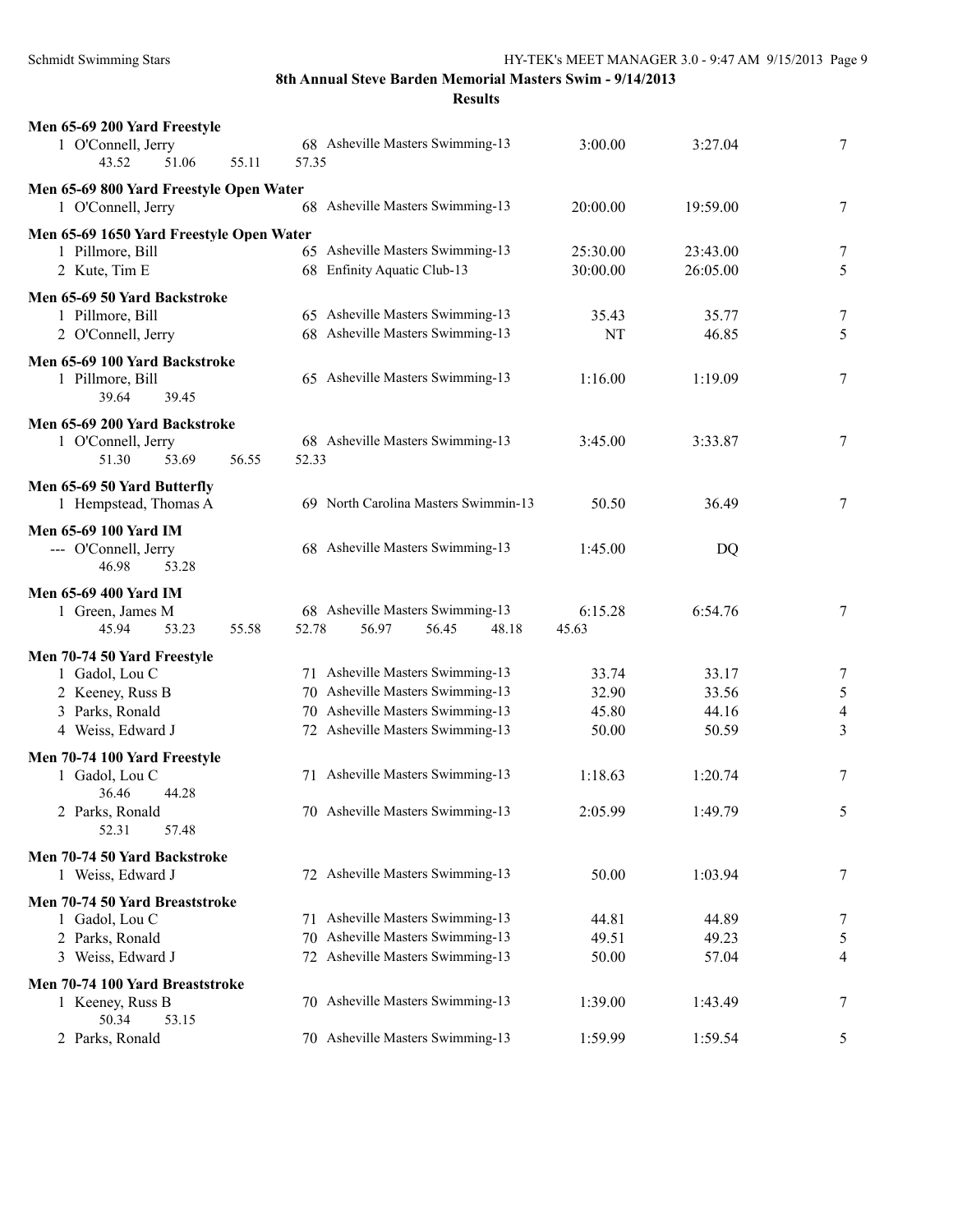**Results**

| Men 65-69 200 Yard Freestyle                  |                                           |          |           |                          |
|-----------------------------------------------|-------------------------------------------|----------|-----------|--------------------------|
| 1 O'Connell, Jerry<br>43.52<br>51.06<br>55.11 | 68 Asheville Masters Swimming-13<br>57.35 | 3:00.00  | 3:27.04   | 7                        |
| Men 65-69 800 Yard Freestyle Open Water       |                                           |          |           |                          |
| 1 O'Connell, Jerry                            | 68 Asheville Masters Swimming-13          | 20:00.00 | 19:59.00  | 7                        |
| Men 65-69 1650 Yard Freestyle Open Water      |                                           |          |           |                          |
| 1 Pillmore, Bill                              | 65 Asheville Masters Swimming-13          | 25:30.00 | 23:43.00  | 7                        |
| 2 Kute, Tim E                                 | 68 Enfinity Aquatic Club-13               | 30:00.00 | 26:05.00  | 5                        |
| Men 65-69 50 Yard Backstroke                  |                                           |          |           |                          |
| 1 Pillmore, Bill                              | 65 Asheville Masters Swimming-13          | 35.43    | 35.77     | 7                        |
| 2 O'Connell, Jerry                            | 68 Asheville Masters Swimming-13          | NT       | 46.85     | 5                        |
| Men 65-69 100 Yard Backstroke                 |                                           |          |           |                          |
| 1 Pillmore, Bill                              | 65 Asheville Masters Swimming-13          | 1:16.00  | 1:19.09   | 7                        |
| 39.64<br>39.45                                |                                           |          |           |                          |
| Men 65-69 200 Yard Backstroke                 |                                           |          |           |                          |
| 1 O'Connell, Jerry                            | 68 Asheville Masters Swimming-13          | 3:45.00  | 3:33.87   | 7                        |
| 51.30<br>53.69<br>56.55                       | 52.33                                     |          |           |                          |
| Men 65-69 50 Yard Butterfly                   |                                           |          |           |                          |
| 1 Hempstead, Thomas A                         | 69 North Carolina Masters Swimmin-13      | 50.50    | 36.49     | 7                        |
| Men 65-69 100 Yard IM                         |                                           |          |           |                          |
| --- O'Connell, Jerry                          | 68 Asheville Masters Swimming-13          | 1:45.00  | <b>DQ</b> |                          |
| 46.98<br>53.28                                |                                           |          |           |                          |
| <b>Men 65-69 400 Yard IM</b>                  |                                           |          |           |                          |
| 1 Green, James M                              | 68 Asheville Masters Swimming-13          | 6:15.28  | 6:54.76   | 7                        |
| 45.94<br>53.23<br>55.58                       | 52.78<br>56.97<br>56.45<br>48.18          | 45.63    |           |                          |
|                                               |                                           |          |           |                          |
| Men 70-74 50 Yard Freestyle<br>1 Gadol, Lou C | 71 Asheville Masters Swimming-13          | 33.74    | 33.17     | 7                        |
| 2 Keeney, Russ B                              | 70 Asheville Masters Swimming-13          | 32.90    | 33.56     | 5                        |
| 3 Parks, Ronald                               | 70 Asheville Masters Swimming-13          | 45.80    | 44.16     | $\overline{\mathcal{A}}$ |
| 4 Weiss, Edward J                             | 72 Asheville Masters Swimming-13          | 50.00    | 50.59     | 3                        |
|                                               |                                           |          |           |                          |
| Men 70-74 100 Yard Freestyle                  | 71 Asheville Masters Swimming-13          | 1:18.63  |           |                          |
| 1 Gadol, Lou C<br>36.46<br>44.28              |                                           |          | 1:20.74   | 7                        |
| 2 Parks, Ronald                               | 70 Asheville Masters Swimming-13          | 2:05.99  | 1:49.79   | 5                        |
| 52.31<br>57.48                                |                                           |          |           |                          |
| Men 70-74 50 Yard Backstroke                  |                                           |          |           |                          |
| 1 Weiss, Edward J                             | 72 Asheville Masters Swimming-13          | 50.00    | 1:03.94   | 7                        |
|                                               |                                           |          |           |                          |
| Men 70-74 50 Yard Breaststroke                |                                           |          |           |                          |
| 1 Gadol, Lou C                                | 71 Asheville Masters Swimming-13          | 44.81    | 44.89     | 7                        |
| 2 Parks, Ronald                               | 70 Asheville Masters Swimming-13          | 49.51    | 49.23     | 5                        |
| 3 Weiss, Edward J                             | 72 Asheville Masters Swimming-13          | 50.00    | 57.04     | 4                        |
| Men 70-74 100 Yard Breaststroke               |                                           |          |           |                          |
| 1 Keeney, Russ B                              | 70 Asheville Masters Swimming-13          | 1:39.00  | 1:43.49   | 7                        |
| 50.34<br>53.15                                |                                           |          |           |                          |
| 2 Parks, Ronald                               | 70 Asheville Masters Swimming-13          | 1:59.99  | 1:59.54   | 5                        |